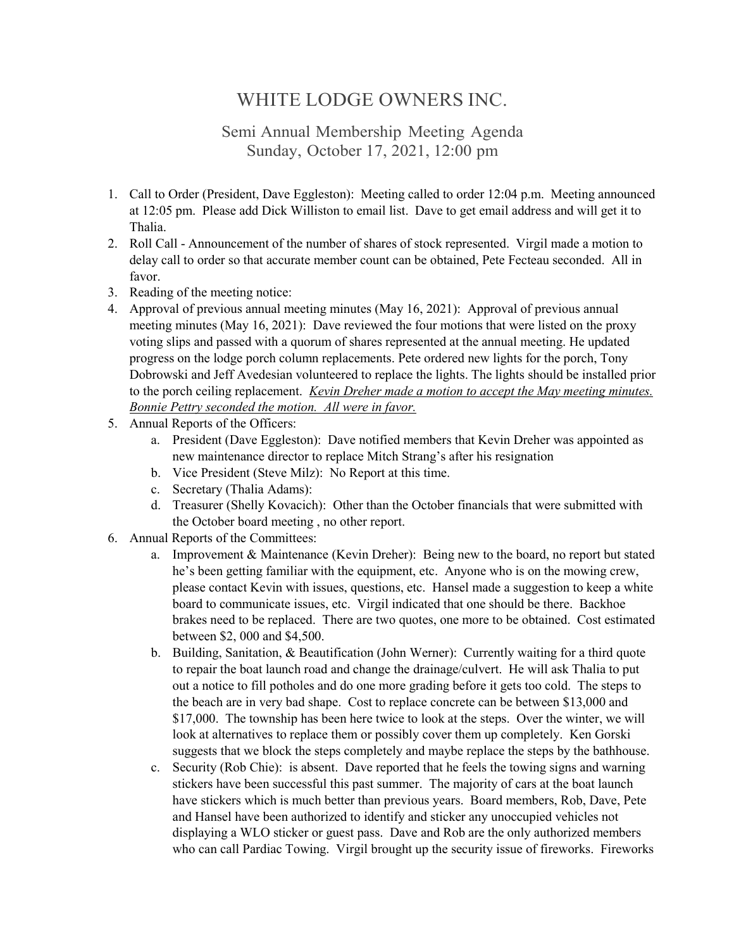## WHITE LODGE OWNERS INC.

## Semi Annual Membership Meeting Agenda Sunday, October 17, 2021, 12:00 pm

- 1. Call to Order (President, Dave Eggleston): Meeting called to order 12:04 p.m. Meeting announced at 12:05 pm. Please add Dick Williston to email list. Dave to get email address and will get it to Thalia.
- 2. Roll Call Announcement of the number of shares of stock represented. Virgil made a motion to delay call to order so that accurate member count can be obtained, Pete Fecteau seconded. All in favor.
- 3. Reading of the meeting notice:
- 4. Approval of previous annual meeting minutes (May 16, 2021): Approval of previous annual meeting minutes (May 16, 2021): Dave reviewed the four motions that were listed on the proxy voting slips and passed with a quorum of shares represented at the annual meeting. He updated progress on the lodge porch column replacements. Pete ordered new lights for the porch, Tony Dobrowski and Jeff Avedesian volunteered to replace the lights. The lights should be installed prior to the porch ceiling replacement. *Kevin Dreher made a motion to accept the May meeting minutes. Bonnie Pettry seconded the motion. All were in favor.*
- 5. Annual Reports of the Officers:
	- a. President (Dave Eggleston): Dave notified members that Kevin Dreher was appointed as new maintenance director to replace Mitch Strang's after his resignation
	- b. Vice President (Steve Milz): No Report at this time.
	- c. Secretary (Thalia Adams):
	- d. Treasurer (Shelly Kovacich): Other than the October financials that were submitted with the October board meeting , no other report.
- 6. Annual Reports of the Committees:
	- a. Improvement & Maintenance (Kevin Dreher): Being new to the board, no report but stated he's been getting familiar with the equipment, etc. Anyone who is on the mowing crew, please contact Kevin with issues, questions, etc. Hansel made a suggestion to keep a white board to communicate issues, etc. Virgil indicated that one should be there. Backhoe brakes need to be replaced. There are two quotes, one more to be obtained. Cost estimated between \$2, 000 and \$4,500.
	- b. Building, Sanitation, & Beautification (John Werner): Currently waiting for a third quote to repair the boat launch road and change the drainage/culvert. He will ask Thalia to put out a notice to fill potholes and do one more grading before it gets too cold. The steps to the beach are in very bad shape. Cost to replace concrete can be between \$13,000 and \$17,000. The township has been here twice to look at the steps. Over the winter, we will look at alternatives to replace them or possibly cover them up completely. Ken Gorski suggests that we block the steps completely and maybe replace the steps by the bathhouse.
	- c. Security (Rob Chie): is absent. Dave reported that he feels the towing signs and warning stickers have been successful this past summer. The majority of cars at the boat launch have stickers which is much better than previous years. Board members, Rob, Dave, Pete and Hansel have been authorized to identify and sticker any unoccupied vehicles not displaying a WLO sticker or guest pass. Dave and Rob are the only authorized members who can call Pardiac Towing. Virgil brought up the security issue of fireworks. Fireworks